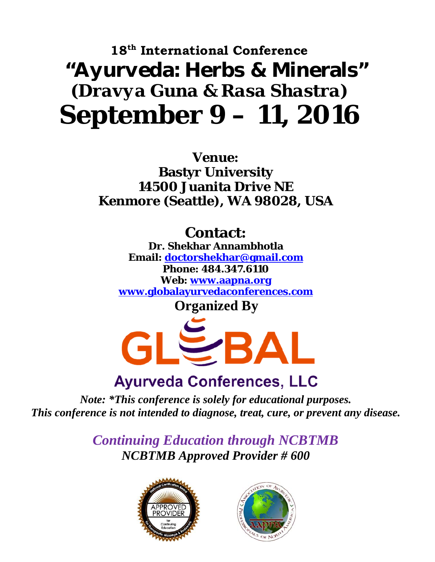# **18th International Conference**  "Ayurveda: Herbs & Minerals" *(Dravya Guna & Rasa Shastra)* **September 9 – 11, 2016**

**Venue: Bastyr University 14500 Juanita Drive NE Kenmore (Seattle), WA 98028, USA** 

#### **Contact:**

**Dr. Shekhar Annambhotla Email: doctorshekhar@gmail.com Phone: 484.347.6110 Web: www.aapna.org www.globalayurvedaconferences.com Organized By** 



# *Note: \*This conference is solely for educational purposes.*

*This conference is not intended to diagnose, treat, cure, or prevent any disease.* 

*Continuing Education through NCBTMB NCBTMB Approved Provider # 600* 



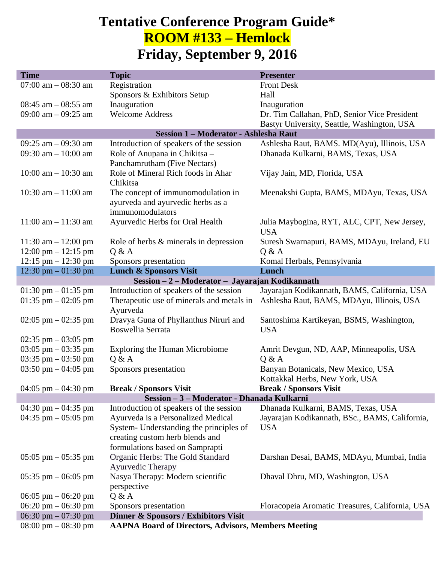#### **Tentative Conference Program Guide\* ROOM #133 – Hemlock Friday, September 9, 2016**

| <b>Time</b>                                |                                                            | <b>Presenter</b>                                |  |  |
|--------------------------------------------|------------------------------------------------------------|-------------------------------------------------|--|--|
|                                            | <b>Topic</b>                                               |                                                 |  |  |
| $07:00$ am $-08:30$ am                     | Registration                                               | <b>Front Desk</b>                               |  |  |
|                                            | Sponsors & Exhibitors Setup                                | Hall                                            |  |  |
| $08:45$ am $-08:55$ am                     | Inauguration                                               | Inauguration                                    |  |  |
| 09:00 am $-$ 09:25 am                      | <b>Welcome Address</b>                                     | Dr. Tim Callahan, PhD, Senior Vice President    |  |  |
|                                            |                                                            | Bastyr University, Seattle, Washington, USA     |  |  |
|                                            | Session 1 - Moderator - Ashlesha Raut                      |                                                 |  |  |
| 09:25 am $-$ 09:30 am                      | Introduction of speakers of the session                    | Ashlesha Raut, BAMS. MD(Ayu), Illinois, USA     |  |  |
| 09:30 am $-10:00$ am                       | Role of Anupana in Chikitsa -                              | Dhanada Kulkarni, BAMS, Texas, USA              |  |  |
|                                            | Panchamrutham (Five Nectars)                               |                                                 |  |  |
|                                            |                                                            |                                                 |  |  |
| $10:00$ am $- 10:30$ am                    | Role of Mineral Rich foods in Ahar                         | Vijay Jain, MD, Florida, USA                    |  |  |
|                                            | Chikitsa                                                   |                                                 |  |  |
| 10:30 am $- 11:00$ am                      | The concept of immunomodulation in                         | Meenakshi Gupta, BAMS, MDAyu, Texas, USA        |  |  |
|                                            | ayurveda and ayurvedic herbs as a                          |                                                 |  |  |
|                                            | immunomodulators                                           |                                                 |  |  |
| $11:00$ am $- 11:30$ am                    | Ayurvedic Herbs for Oral Health                            | Julia Maybogina, RYT, ALC, CPT, New Jersey,     |  |  |
|                                            |                                                            | <b>USA</b>                                      |  |  |
| 11:30 am $- 12:00$ pm                      | Role of herbs & minerals in depression                     | Suresh Swarnapuri, BAMS, MDAyu, Ireland, EU     |  |  |
| $12:00 \text{ pm} - 12:15 \text{ pm}$      | Q & A                                                      | Q & A                                           |  |  |
| $12:15$ pm $- 12:30$ pm                    | Sponsors presentation                                      | Komal Herbals, Pennsylvania                     |  |  |
|                                            |                                                            |                                                 |  |  |
| 12:30 pm $-01:30$ pm                       | <b>Lunch &amp; Sponsors Visit</b>                          | Lunch                                           |  |  |
|                                            | Session - 2 - Moderator - Jayarajan Kodikannath            |                                                 |  |  |
| 01:30 pm $-$ 01:35 pm                      | Introduction of speakers of the session                    | Jayarajan Kodikannath, BAMS, California, USA    |  |  |
| 01:35 pm $-$ 02:05 pm                      | Therapeutic use of minerals and metals in                  | Ashlesha Raut, BAMS, MDAyu, Illinois, USA       |  |  |
|                                            | Ayurveda                                                   |                                                 |  |  |
| $02:05$ pm $-02:35$ pm                     | Dravya Guna of Phyllanthus Niruri and                      | Santoshima Kartikeyan, BSMS, Washington,        |  |  |
|                                            | Boswellia Serrata                                          | <b>USA</b>                                      |  |  |
| 02:35 pm $-$ 03:05 pm                      |                                                            |                                                 |  |  |
| $03:05$ pm $-03:35$ pm                     | Exploring the Human Microbiome                             | Amrit Devgun, ND, AAP, Minneapolis, USA         |  |  |
| 03:35 pm $-$ 03:50 pm                      | Q & A                                                      | Q & A                                           |  |  |
| 03:50 pm $-$ 04:05 pm                      | Sponsors presentation                                      | Banyan Botanicals, New Mexico, USA              |  |  |
|                                            |                                                            |                                                 |  |  |
|                                            |                                                            | Kottakkal Herbs, New York, USA                  |  |  |
| 04:05 pm $-$ 04:30 pm                      | <b>Break / Sponsors Visit</b>                              | <b>Break / Sponsors Visit</b>                   |  |  |
| Session - 3 - Moderator - Dhanada Kulkarni |                                                            |                                                 |  |  |
| 04:30 pm $-$ 04:35 pm                      | Introduction of speakers of the session                    | Dhanada Kulkarni, BAMS, Texas, USA              |  |  |
| 04:35 pm $-$ 05:05 pm                      | Ayurveda is a Personalized Medical                         | Jayarajan Kodikannath, BSc., BAMS, California,  |  |  |
|                                            | System- Understanding the principles of                    | <b>USA</b>                                      |  |  |
|                                            | creating custom herb blends and                            |                                                 |  |  |
|                                            | formulations based on Samprapti                            |                                                 |  |  |
| $05:05$ pm $-05:35$ pm                     | Organic Herbs: The Gold Standard                           | Darshan Desai, BAMS, MDAyu, Mumbai, India       |  |  |
|                                            | Ayurvedic Therapy                                          |                                                 |  |  |
| $05:35$ pm $-06:05$ pm                     | Nasya Therapy: Modern scientific                           | Dhaval Dhru, MD, Washington, USA                |  |  |
|                                            |                                                            |                                                 |  |  |
|                                            | perspective                                                |                                                 |  |  |
| $06:05$ pm $-06:20$ pm                     | Q & A                                                      |                                                 |  |  |
| $06:20 \text{ pm} - 06:30 \text{ pm}$      | Sponsors presentation                                      | Floracopeia Aromatic Treasures, California, USA |  |  |
| 06:30 pm $-$ 07:30 pm                      | Dinner & Sponsors / Exhibitors Visit                       |                                                 |  |  |
| $08:00 \text{ pm} - 08:30 \text{ pm}$      | <b>AAPNA Board of Directors, Advisors, Members Meeting</b> |                                                 |  |  |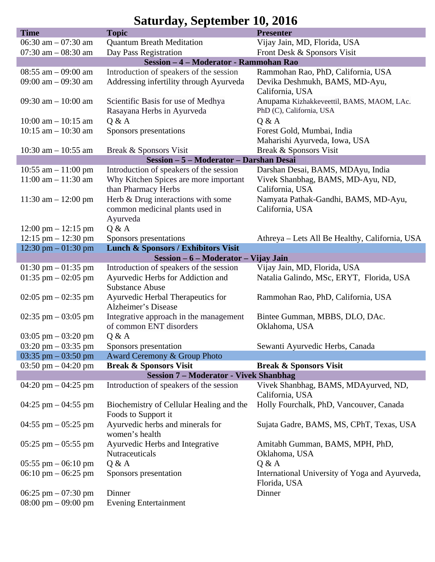#### **Saturday, September 10, 2016**

| <b>Time</b>                                   | <b>Topic</b>                                   | <b>Presenter</b>                                        |  |  |
|-----------------------------------------------|------------------------------------------------|---------------------------------------------------------|--|--|
| 06:30 am $-$ 07:30 am                         | <b>Quantum Breath Meditation</b>               | Vijay Jain, MD, Florida, USA                            |  |  |
| 07:30 am $-$ 08:30 am                         | Day Pass Registration                          | Front Desk & Sponsors Visit                             |  |  |
|                                               | Session - 4 - Moderator - Rammohan Rao         |                                                         |  |  |
| $08:55$ am $-09:00$ am                        | Introduction of speakers of the session        | Rammohan Rao, PhD, California, USA                      |  |  |
| 09:00 am $-$ 09:30 am                         | Addressing infertility through Ayurveda        | Devika Deshmukh, BAMS, MD-Ayu,                          |  |  |
|                                               |                                                | California, USA                                         |  |  |
| 09:30 am $-10:00$ am                          | Scientific Basis for use of Medhya             | Anupama Kizhakkeveettil, BAMS, MAOM, LAc.               |  |  |
|                                               | Rasayana Herbs in Ayurveda                     | PhD (C), California, USA                                |  |  |
| $10:00$ am $- 10:15$ am                       | Q & A                                          | Q & A                                                   |  |  |
| $10:15$ am $- 10:30$ am                       | Sponsors presentations                         | Forest Gold, Mumbai, India                              |  |  |
|                                               |                                                | Maharishi Ayurveda, Iowa, USA                           |  |  |
| 10:30 am $-$ 10:55 am                         | Break & Sponsors Visit                         | Break & Sponsors Visit                                  |  |  |
| Session - 5 - Moderator - Darshan Desai       |                                                |                                                         |  |  |
| 10:55 am $-$ 11:00 pm                         | Introduction of speakers of the session        | Darshan Desai, BAMS, MDAyu, India                       |  |  |
| $11:00$ am $- 11:30$ am                       | Why Kitchen Spices are more important          | Vivek Shanbhag, BAMS, MD-Ayu, ND,                       |  |  |
|                                               | than Pharmacy Herbs                            | California, USA                                         |  |  |
| $11:30$ am $- 12:00$ pm                       | Herb & Drug interactions with some             | Namyata Pathak-Gandhi, BAMS, MD-Ayu,                    |  |  |
|                                               | common medicinal plants used in                | California, USA                                         |  |  |
| $12:00 \text{ pm} - 12:15 \text{ pm}$         | Ayurveda<br>Q & A                              |                                                         |  |  |
| $12:15$ pm $- 12:30$ pm                       | Sponsors presentations                         | Athreya – Lets All Be Healthy, California, USA          |  |  |
| 12:30 pm $-$ 01:30 pm                         | <b>Lunch &amp; Sponsors / Exhibitors Visit</b> |                                                         |  |  |
|                                               | Session – 6 – Moderator – Vijay Jain           |                                                         |  |  |
| 01:30 pm $-$ 01:35 pm                         | Introduction of speakers of the session        | Vijay Jain, MD, Florida, USA                            |  |  |
| 01:35 pm $-$ 02:05 pm                         | Ayurvedic Herbs for Addiction and              | Natalia Galindo, MSc, ERYT, Florida, USA                |  |  |
|                                               | <b>Substance Abuse</b>                         |                                                         |  |  |
| $02:05$ pm $-02:35$ pm                        | Ayurvedic Herbal Therapeutics for              | Rammohan Rao, PhD, California, USA                      |  |  |
|                                               | Alzheimer's Disease                            |                                                         |  |  |
| 02:35 pm $-$ 03:05 pm                         | Integrative approach in the management         | Bintee Gumman, MBBS, DLO, DAc.                          |  |  |
|                                               | of common ENT disorders                        | Oklahoma, USA                                           |  |  |
| $03:05 \text{ pm} - 03:20 \text{ pm}$         | Q & A                                          |                                                         |  |  |
| 03:20 pm $-$ 03:35 pm                         | Sponsors presentation                          | Sewanti Ayurvedic Herbs, Canada                         |  |  |
| $03:35$ pm $-03:50$ pm                        | Award Ceremony & Group Photo                   |                                                         |  |  |
| 03:50 pm $-$ 04:20 pm                         | <b>Break &amp; Sponsors Visit</b>              | <b>Break &amp; Sponsors Visit</b>                       |  |  |
| <b>Session 7 - Moderator - Vivek Shanbhag</b> |                                                |                                                         |  |  |
| 04:20 pm $-$ 04:25 pm                         | Introduction of speakers of the session        | Vivek Shanbhag, BAMS, MDAyurved, ND,<br>California, USA |  |  |
| $04:25$ pm $-04:55$ pm                        | Biochemistry of Cellular Healing and the       | Holly Fourchalk, PhD, Vancouver, Canada                 |  |  |
|                                               | Foods to Support it                            |                                                         |  |  |
| 04:55 pm $-$ 05:25 pm                         | Ayurvedic herbs and minerals for               | Sujata Gadre, BAMS, MS, CPhT, Texas, USA                |  |  |
|                                               | women's health                                 |                                                         |  |  |
| $05:25$ pm $-05:55$ pm                        | Ayurvedic Herbs and Integrative                | Amitabh Gumman, BAMS, MPH, PhD,                         |  |  |
|                                               | Nutraceuticals                                 | Oklahoma, USA                                           |  |  |
| $05:55$ pm $-06:10$ pm                        | Q & A                                          | Q & A                                                   |  |  |
| 06:10 pm $-$ 06:25 pm                         | Sponsors presentation                          | International University of Yoga and Ayurveda,          |  |  |
|                                               |                                                | Florida, USA                                            |  |  |
| 06:25 pm $-$ 07:30 pm                         | Dinner                                         | Dinner                                                  |  |  |
| $08:00 \text{ pm} - 09:00 \text{ pm}$         | <b>Evening Entertainment</b>                   |                                                         |  |  |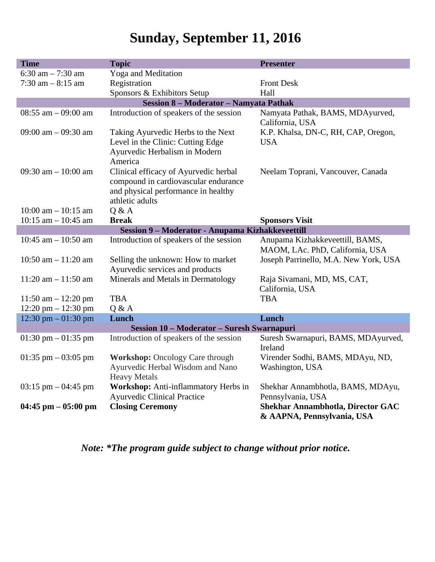## **Sunday, September 11, 2016**

| <b>Time</b>                            | <b>Topic</b>                                      | <b>Presenter</b>                         |  |  |
|----------------------------------------|---------------------------------------------------|------------------------------------------|--|--|
| 6:30 am $-7:30$ am                     | Yoga and Meditation                               |                                          |  |  |
| $7:30$ am $-8:15$ am                   | Registration                                      | <b>Front Desk</b>                        |  |  |
|                                        | Sponsors & Exhibitors Setup                       | Hall                                     |  |  |
| Session 8 - Moderator - Namyata Pathak |                                                   |                                          |  |  |
| 08:55 am $-$ 09:00 am                  | Introduction of speakers of the session           | Namyata Pathak, BAMS, MDAyurved,         |  |  |
|                                        |                                                   | California, USA                          |  |  |
| 09:00 am $-$ 09:30 am                  | Taking Ayurvedic Herbs to the Next                | K.P. Khalsa, DN-C, RH, CAP, Oregon,      |  |  |
|                                        | Level in the Clinic: Cutting Edge                 | <b>USA</b>                               |  |  |
|                                        | Ayurvedic Herbalism in Modern                     |                                          |  |  |
|                                        | America                                           |                                          |  |  |
| 09:30 am $-10:00$ am                   | Clinical efficacy of Ayurvedic herbal             | Neelam Toprani, Vancouver, Canada        |  |  |
|                                        | compound in cardiovascular endurance              |                                          |  |  |
|                                        | and physical performance in healthy               |                                          |  |  |
|                                        | athletic adults                                   |                                          |  |  |
| $10:00$ am $- 10:15$ am                | Q & A                                             |                                          |  |  |
| $10:15$ am $- 10:45$ am                | <b>Break</b>                                      | <b>Sponsors Visit</b>                    |  |  |
|                                        | Session 9 - Moderator - Anupama Kizhakkeveettill  |                                          |  |  |
| 10:45 am $-$ 10:50 am                  | Introduction of speakers of the session           | Anupama Kizhakkeveettill, BAMS,          |  |  |
|                                        |                                                   | MAOM, LAc. PhD, California, USA          |  |  |
| 10:50 am $- 11:20$ am                  | Selling the unknown: How to market                | Joseph Parrinello, M.A. New York, USA    |  |  |
|                                        | Ayurvedic services and products                   |                                          |  |  |
| $11:20$ am $-11:50$ am                 | Minerals and Metals in Dermatology                | Raja Sivamani, MD, MS, CAT,              |  |  |
|                                        |                                                   | California, USA                          |  |  |
| $11:50$ am $- 12:20$ pm                | <b>TBA</b>                                        | <b>TBA</b>                               |  |  |
| $12:20 \text{ pm} - 12:30 \text{ pm}$  | Q & A                                             |                                          |  |  |
| 12:30 pm $-01:30$ pm                   | Lunch                                             | Lunch                                    |  |  |
|                                        | <b>Session 10 - Moderator - Suresh Swarnapuri</b> |                                          |  |  |
| 01:30 pm $-$ 01:35 pm                  | Introduction of speakers of the session           | Suresh Swarnapuri, BAMS, MDAyurved,      |  |  |
|                                        |                                                   | Ireland                                  |  |  |
| $01:35$ pm $-03:05$ pm                 | <b>Workshop:</b> Oncology Care through            | Virender Sodhi, BAMS, MDAyu, ND,         |  |  |
|                                        | Ayurvedic Herbal Wisdom and Nano                  | Washington, USA                          |  |  |
|                                        | <b>Heavy Metals</b>                               |                                          |  |  |
| $03:15$ pm $-04:45$ pm                 | Workshop: Anti-inflammatory Herbs in              | Shekhar Annambhotla, BAMS, MDAyu,        |  |  |
|                                        | <b>Ayurvedic Clinical Practice</b>                | Pennsylvania, USA                        |  |  |
| $04:45$ pm $-05:00$ pm                 | <b>Closing Ceremony</b>                           | <b>Shekhar Annambhotla, Director GAC</b> |  |  |
|                                        |                                                   | & AAPNA, Pennsylvania, USA               |  |  |

*Note: \*The program guide subject to change without prior notice.*